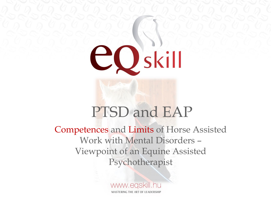

### PTSD and EAP

Competences and Limits of Horse Assisted Work with Mental Disorders – Viewpoint of an Equine Assisted Psychotherapist

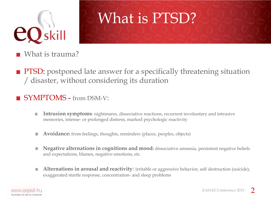

### What is PTSD?

- What is trauma?
- PTSD: postponed late answer for a specifically threatening situation / disaster, without considering its duration

#### SYMPTOMS - from DSM-V:

- **Intrusion symptoms**: nightmares, dissociative reactions, recurrent involuntary and intrusive L. memories, intense- or prolonged distress, marked psychologic reactivity
- **Avoidance:** from feelings, thoughts, reminders (places, peoples, objects) H.
- **Negative alternations in cognitions and mood:** dissociative amnesia, persistent negative beliefs H. and expectations, blames, negative emotions, etc.
- **Alternations in arousal and reactivity**: irritable or aggressive behavior, self destruction (suicide), H. exaggerated startle response, concentration- and sleep problems

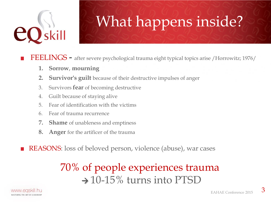

## What happens inside?

FEELINGS - after severe psychological trauma eight typical topics arise /Horrowitz; 1976/

- **1. Sorrow**, **mourning**
- **2. Survivor's guilt** because of their destructive impulses of anger
- 3. Survivors **fear** of becoming destructive
- 4. Guilt because of staying alive
- 5. Fear of identification with the victims
- 6. Fear of trauma recurrence
- **7. Shame** of unableness and emptiness
- **8. Anger** for the artificer of the trauma
- REASONS: loss of beloved person, violence (abuse), war cases

### 70% of people experiences trauma  $\rightarrow$  10-15% turns into PTSD

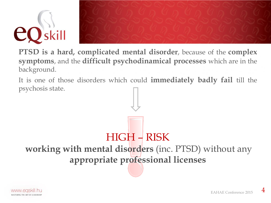



**PTSD is a hard, complicated mental disorder**, because of the **complex symptoms**, and the **difficult psychodinamical processes** which are in the background.

It is one of those disorders which could **immediately badly fail** till the psychosis state.

HIGH – RISK **working with mental disorders** (inc. PTSD) without any **appropriate professional licenses**

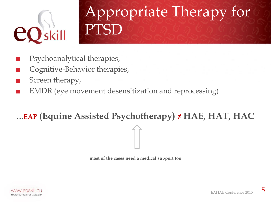

# Appropriate Therapy for PTSD

- Psychoanalytical therapies,
- Cognitive-Behavior therapies,
- Screen therapy,
- EMDR (eye movement desensitization and reprocessing)

#### ...**EAP (Equine Assisted Psychotherapy) ≠ HAE, HAT, HAC**



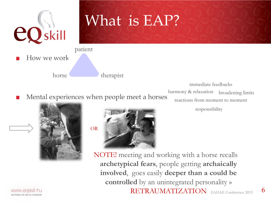

## What is EAP?

How we work? patient

> harmony & relaxation immediate feedbacks broadening limits



www.easl MASTERING THE ART OF LEADERSHI



Mental experiences when people meet a horses

horse therapist

reactions from moment to moment

responsibility

6

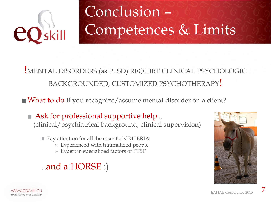

# Conclusion – Competences & Limits

#### !MENTAL DISORDERS (as PTSD) REQUIRE CLINICAL PSYCHOLOGIC BACKGROUNDED, CUSTOMIZED PSYCHOTHERAPY!

What to do if you recognize/assume mental disorder on a client?

- Ask for professional supportive help... (clinical/psychiatrical background, clinical supervision)
	- Pay attention for all the essential CRITERIA:
		- » Experienced with traumatized people
		- » Expert in specialized factors of PTSD

#### ...and a HORSE :)